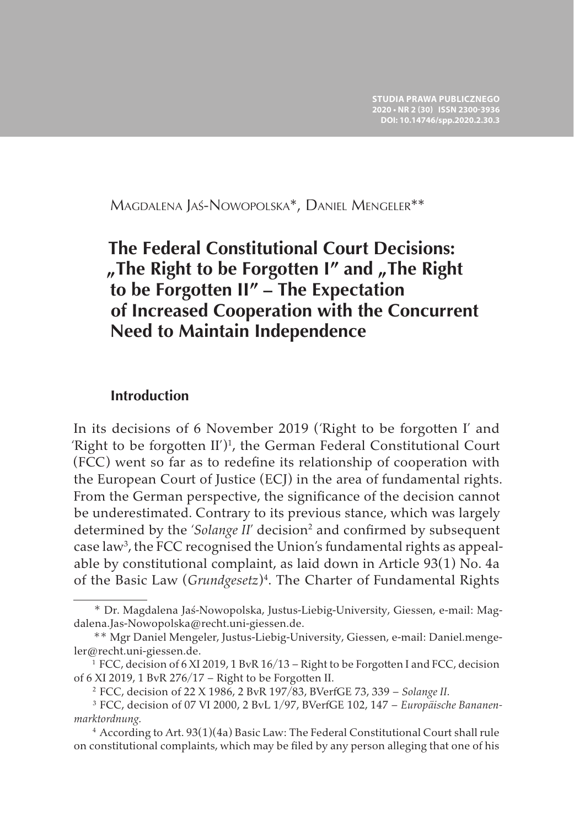Magdalena Jaś-Nowopolska\*, Daniel Mengeler\*\*

# **The Federal Constitutional Court Decisions:**  "The Right to be Forgotten I" and "The Right **to be Forgotten II" – The Expectation of Increased Cooperation with the Concurrent Need to Maintain Independence**

### **Introduction**

In its decisions of 6 November 2019 ('Right to be forgotten I' and 'Right to be forgotten  $II$ <sup>')1</sup>, the German Federal Constitutional Court (FCC) went so far as to redefine its relationship of cooperation with the European Court of Justice (ECJ) in the area of fundamental rights. From the German perspective, the significance of the decision cannot be underestimated. Contrary to its previous stance, which was largely determined by the 'Solange II' decision<sup>2</sup> and confirmed by subsequent case law<sup>3</sup>, the FCC recognised the Union's fundamental rights as appealable by constitutional complaint, as laid down in Article 93(1) No. 4a of the Basic Law (Grundgesetz)<sup>4</sup>. The Charter of Fundamental Rights

<sup>\*</sup> Dr. Magdalena Jaś-Nowopolska, Justus-Liebig-University, Giessen, e-mail: Magdalena.Jas-Nowopolska@recht.uni-giessen.de.

<sup>\*\*</sup> Mgr Daniel Mengeler, Justus-Liebig-University, Giessen, e-mail: Daniel.mengeler@recht.uni-giessen.de.

<sup>1</sup> FCC, decision of 6 XI 2019, 1 BvR 16/13 – Right to be Forgotten I and FCC, decision of 6 XI 2019, 1 BvR 276/17 – Right to be Forgotten II.

<sup>2</sup> FCC, decision of 22 X 1986, 2 BvR 197/83, BVerfGE 73, 339 – *Solange II.*

<sup>3</sup> FCC, decision of 07 VI 2000, 2 BvL 1/97, BVerfGE 102, 147 – *Europäische Bananenmarktordnung.*

<sup>4</sup> According to Art. 93(1)(4a) Basic Law: The Federal Constitutional Court shall rule on constitutional complaints, which may be filed by any person alleging that one of his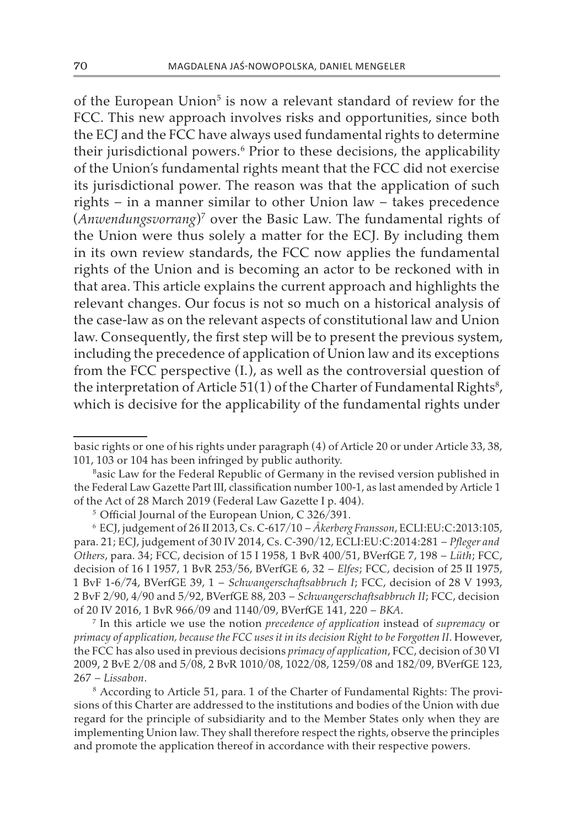of the European Union<sup>5</sup> is now a relevant standard of review for the FCC. This new approach involves risks and opportunities, since both the ECJ and the FCC have always used fundamental rights to determine their jurisdictional powers.<sup>6</sup> Prior to these decisions, the applicability of the Union's fundamental rights meant that the FCC did not exercise its jurisdictional power. The reason was that the application of such rights – in a manner similar to other Union law – takes precedence (*Anwendungsvorrang*)<sup>7</sup> over the Basic Law. The fundamental rights of the Union were thus solely a matter for the ECJ. By including them in its own review standards, the FCC now applies the fundamental rights of the Union and is becoming an actor to be reckoned with in that area. This article explains the current approach and highlights the relevant changes. Our focus is not so much on a historical analysis of the case-law as on the relevant aspects of constitutional law and Union law. Consequently, the first step will be to present the previous system, including the precedence of application of Union law and its exceptions from the FCC perspective (I.), as well as the controversial question of the interpretation of Article 51(1) of the Charter of Fundamental Rights $^{\rm 8}$ , which is decisive for the applicability of the fundamental rights under

<sup>7</sup> In this article we use the notion *precedence of application* instead of *supremacy* or *primacy of application, because the FCC uses it in its decision Right to be Forgotten II*. However, the FCC has also used in previous decisions *primacy of application*, FCC, decision of 30 VI 2009, 2 BvE 2/08 and 5/08, 2 BvR 1010/08, 1022/08, 1259/08 and 182/09, BVerfGE 123, 267 – *Lissabon*.

<sup>8</sup> According to Article 51, para. 1 of the Charter of Fundamental Rights: The provisions of this Charter are addressed to the institutions and bodies of the Union with due regard for the principle of subsidiarity and to the Member States only when they are implementing Union law. They shall therefore respect the rights, observe the principles and promote the application thereof in accordance with their respective powers.

basic rights or one of his rights under paragraph (4) of Article 20 or under Article 33, 38, 101, 103 or 104 has been infringed by public authority.

Basic Law for the Federal Republic of Germany in the revised version published in the Federal Law Gazette Part III, classification number 100-1, as last amended by Article 1 of the Act of 28 March 2019 (Federal Law Gazette I p. 404).

<sup>5</sup> Official Journal of the European Union, C 326/391.

<sup>6</sup> ECJ, judgement of 26 II 2013, Cs. C-617/10 – *Åkerberg Fransson*, ECLI:EU:C:2013:105, para. 21; ECJ, judgement of 30 IV 2014, Cs. C-390/12, ECLI:EU:C:2014:281 – *Pfleger and Others*, para. 34; FCC, decision of 15 I 1958, 1 BvR 400/51, BVerfGE 7, 198 – *Lüth*; FCC, decision of 16 I 1957, 1 BvR 253/56, BVerfGE 6, 32 – *Elfes*; FCC, decision of 25 II 1975, 1 BvF 1-6/74, BVerfGE 39, 1 – *Schwangerschaftsabbruch I*; FCC, decision of 28 V 1993, 2 BvF 2/90, 4/90 and 5/92, BVerfGE 88, 203 – *Schwangerschaftsabbruch II*; FCC, decision of 20 IV 2016, 1 BvR 966/09 and 1140/09, BVerfGE 141, 220 – *BKA*.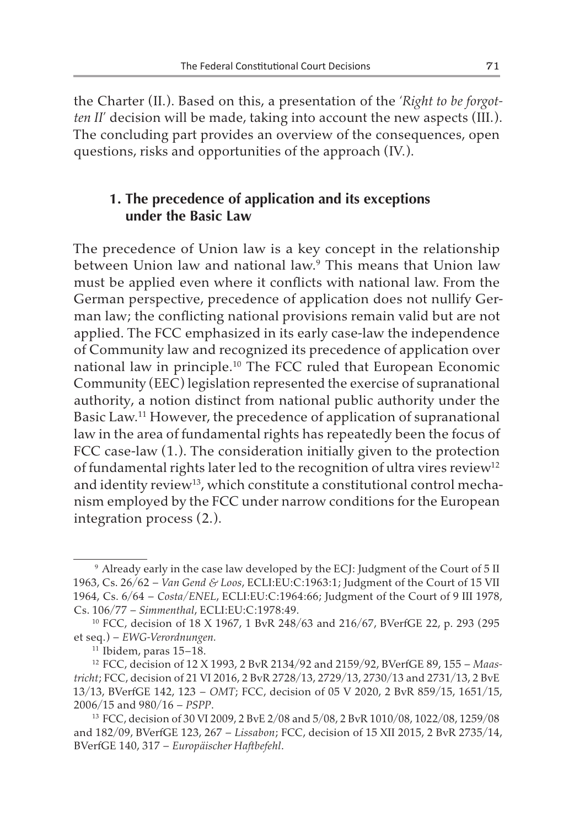the Charter (II.). Based on this, a presentation of the '*Right to be forgotten II*' decision will be made, taking into account the new aspects (III.). The concluding part provides an overview of the consequences, open questions, risks and opportunities of the approach (IV.).

### **1. The precedence of application and its exceptions under the Basic Law**

The precedence of Union law is a key concept in the relationship between Union law and national law.9 This means that Union law must be applied even where it conflicts with national law. From the German perspective, precedence of application does not nullify German law; the conflicting national provisions remain valid but are not applied. The FCC emphasized in its early case-law the independence of Community law and recognized its precedence of application over national law in principle.10 The FCC ruled that European Economic Community (EEC) legislation represented the exercise of supranational authority, a notion distinct from national public authority under the Basic Law.11 However, the precedence of application of supranational law in the area of fundamental rights has repeatedly been the focus of FCC case-law (1.). The consideration initially given to the protection of fundamental rights later led to the recognition of ultra vires review<sup>12</sup> and identity review<sup>13</sup>, which constitute a constitutional control mechanism employed by the FCC under narrow conditions for the European integration process (2.).

<sup>&</sup>lt;sup>9</sup> Already early in the case law developed by the ECJ: Judgment of the Court of 5 II 1963, Cs. 26/62 – *Van Gend & Loos*, ECLI:EU:C:1963:1; Judgment of the Court of 15 VII 1964, Cs. 6/64 – *Costa/ENEL*, ECLI:EU:C:1964:66; Judgment of the Court of 9 III 1978, Cs. 106/77 – *Simmenthal*, ECLI:EU:C:1978:49.

<sup>10</sup> FCC, decision of 18 X 1967, 1 BvR 248/63 and 216/67, BVerfGE 22, p. 293 (295 et seq.) – *EWG-Verordnungen.* 

 $11$  Ibidem, paras  $15-18$ .

<sup>12</sup> FCC, decision of 12 X 1993, 2 BvR 2134/92 and 2159/92, BVerfGE 89, 155 – *Maastricht*; FCC, decision of 21 VI 2016, 2 BvR 2728/13, 2729/13, 2730/13 and 2731/13, 2 BvE 13/13, BVerfGE 142, 123 – *OMT*; FCC, decision of 05 V 2020, 2 BvR 859/15, 1651/15, 2006/15 and 980/16 – *PSPP*.

<sup>13</sup> FCC, decision of 30 VI 2009, 2 BvE 2/08 and 5/08, 2 BvR 1010/08, 1022/08, 1259/08 and 182/09, BVerfGE 123, 267 – *Lissabon*; FCC, decision of 15 XII 2015, 2 BvR 2735/14, BVerfGE 140, 317 – *Europäischer Haftbefehl*.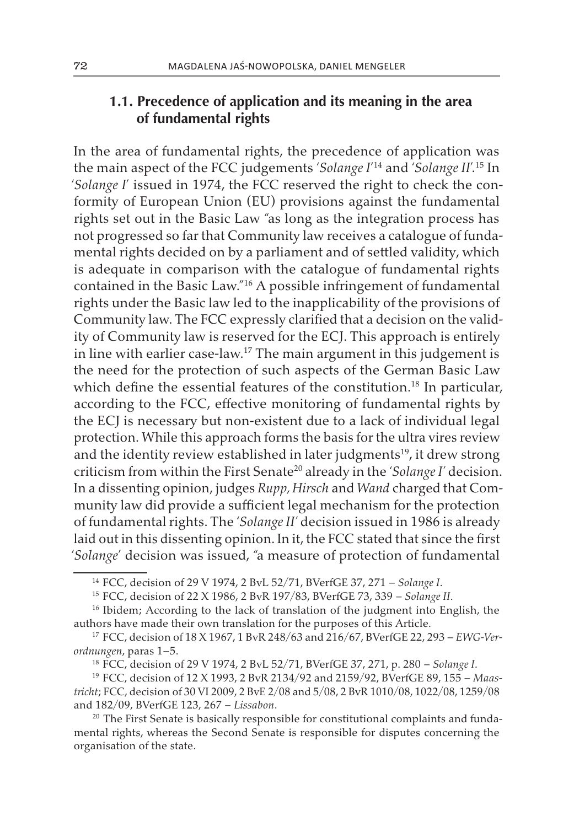# **1.1. Precedence of application and its meaning in the area of fundamental rights**

In the area of fundamental rights, the precedence of application was the main aspect of the FCC judgements '*Solange I*' 14 and '*Solange II*'.15 In '*Solange I*' issued in 1974, the FCC reserved the right to check the conformity of European Union (EU) provisions against the fundamental rights set out in the Basic Law "as long as the integration process has not progressed so far that Community law receives a catalogue of fundamental rights decided on by a parliament and of settled validity, which is adequate in comparison with the catalogue of fundamental rights contained in the Basic Law."16 A possible infringement of fundamental rights under the Basic law led to the inapplicability of the provisions of Community law. The FCC expressly clarified that a decision on the validity of Community law is reserved for the ECJ. This approach is entirely in line with earlier case-law.17 The main argument in this judgement is the need for the protection of such aspects of the German Basic Law which define the essential features of the constitution.<sup>18</sup> In particular, according to the FCC, effective monitoring of fundamental rights by the ECJ is necessary but non-existent due to a lack of individual legal protection. While this approach forms the basis for the ultra vires review and the identity review established in later judgments<sup>19</sup>, it drew strong criticism from within the First Senate20 already in the '*Solange I'* decision. In a dissenting opinion, judges *Rupp, Hirsch* and *Wand* charged that Community law did provide a sufficient legal mechanism for the protection of fundamental rights. The '*Solange II'* decision issued in 1986 is already laid out in this dissenting opinion. In it, the FCC stated that since the first '*Solange*' decision was issued, "a measure of protection of fundamental

<sup>14</sup> FCC, decision of 29 V 1974, 2 BvL 52/71, BVerfGE 37, 271 – *Solange I*.

<sup>15</sup> FCC, decision of 22 X 1986, 2 BvR 197/83, BVerfGE 73, 339 – *Solange II*.

<sup>&</sup>lt;sup>16</sup> Ibidem; According to the lack of translation of the judgment into English, the authors have made their own translation for the purposes of this Article.

<sup>17</sup> FCC, decision of 18 X 1967, 1 BvR 248/63 and 216/67, BVerfGE 22, 293 – *EWG-Verordnungen*, paras 1–5.

<sup>18</sup> FCC, decision of 29 V 1974, 2 BvL 52/71, BVerfGE 37, 271, p. 280 – *Solange I*.

<sup>19</sup> FCC, decision of 12 X 1993, 2 BvR 2134/92 and 2159/92, BVerfGE 89, 155 – *Maastricht*; FCC, decision of 30 VI 2009, 2 BvE 2/08 and 5/08, 2 BvR 1010/08, 1022/08, 1259/08 and 182/09, BVerfGE 123, 267 – *Lissabon*.

<sup>&</sup>lt;sup>20</sup> The First Senate is basically responsible for constitutional complaints and fundamental rights, whereas the Second Senate is responsible for disputes concerning the organisation of the state.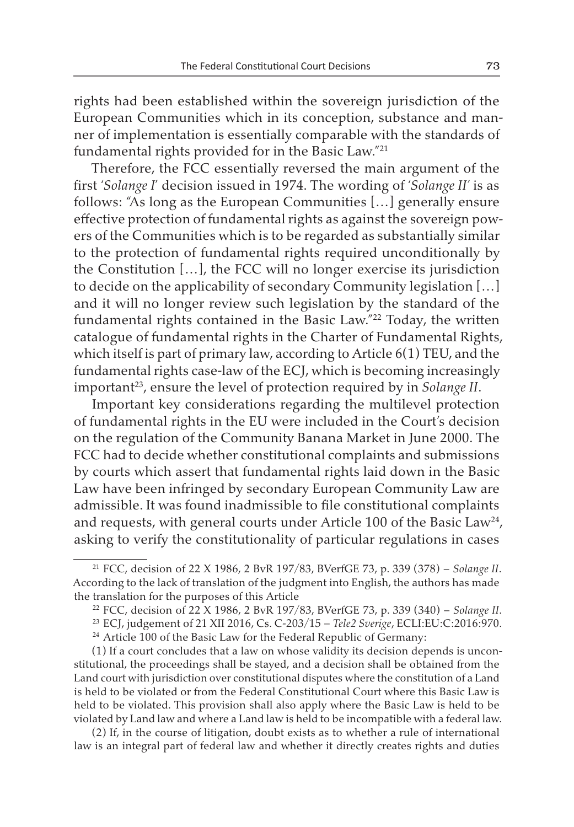rights had been established within the sovereign jurisdiction of the European Communities which in its conception, substance and manner of implementation is essentially comparable with the standards of fundamental rights provided for in the Basic Law."21

Therefore, the FCC essentially reversed the main argument of the first '*Solange I*' decision issued in 1974. The wording of '*Solange II'* is as follows: "As long as the European Communities […] generally ensure effective protection of fundamental rights as against the sovereign powers of the Communities which is to be regarded as substantially similar to the protection of fundamental rights required unconditionally by the Constitution […], the FCC will no longer exercise its jurisdiction to decide on the applicability of secondary Community legislation […] and it will no longer review such legislation by the standard of the fundamental rights contained in the Basic Law."<sup>22</sup> Today, the written catalogue of fundamental rights in the Charter of Fundamental Rights, which itself is part of primary law, according to Article 6(1) TEU, and the fundamental rights case-law of the ECJ, which is becoming increasingly important<sup>23</sup>, ensure the level of protection required by in *Solange II*.

Important key considerations regarding the multilevel protection of fundamental rights in the EU were included in the Court's decision on the regulation of the Community Banana Market in June 2000. The FCC had to decide whether constitutional complaints and submissions by courts which assert that fundamental rights laid down in the Basic Law have been infringed by secondary European Community Law are admissible. It was found inadmissible to file constitutional complaints and requests, with general courts under Article 100 of the Basic Law<sup>24</sup>, asking to verify the constitutionality of particular regulations in cases

(2) If, in the course of litigation, doubt exists as to whether a rule of international law is an integral part of federal law and whether it directly creates rights and duties

<sup>21</sup> FCC, decision of 22 X 1986, 2 BvR 197/83, BVerfGE 73, p. 339 (378) – *Solange II*. According to the lack of translation of the judgment into English, the authors has made the translation for the purposes of this Article

<sup>22</sup> FCC, decision of 22 X 1986, 2 BvR 197/83, BVerfGE 73, p. 339 (340) – *Solange II*.

<sup>23</sup> ECJ, judgement of 21 XII 2016, Cs. C-203/15 – *Tele2 Sverige*, ECLI:EU:C:2016:970.

<sup>&</sup>lt;sup>24</sup> Article 100 of the Basic Law for the Federal Republic of Germany:

<sup>(1)</sup> If a court concludes that a law on whose validity its decision depends is unconstitutional, the proceedings shall be stayed, and a decision shall be obtained from the Land court with jurisdiction over constitutional disputes where the constitution of a Land is held to be violated or from the Federal Constitutional Court where this Basic Law is held to be violated. This provision shall also apply where the Basic Law is held to be violated by Land law and where a Land law is held to be incompatible with a federal law.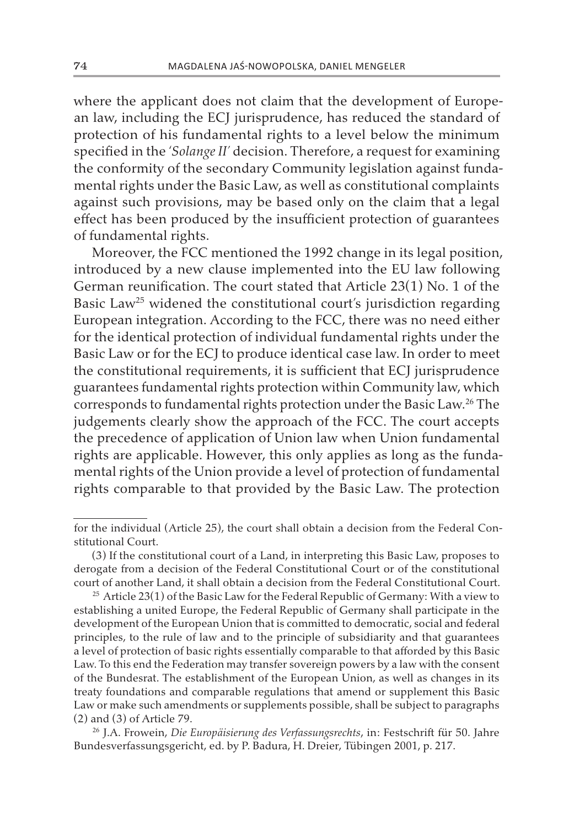where the applicant does not claim that the development of European law, including the ECJ jurisprudence, has reduced the standard of protection of his fundamental rights to a level below the minimum specified in the '*Solange II'* decision. Therefore, a request for examining the conformity of the secondary Community legislation against fundamental rights under the Basic Law, as well as constitutional complaints against such provisions, may be based only on the claim that a legal effect has been produced by the insufficient protection of guarantees of fundamental rights.

Moreover, the FCC mentioned the 1992 change in its legal position, introduced by a new clause implemented into the EU law following German reunification. The court stated that Article 23(1) No. 1 of the Basic Law<sup>25</sup> widened the constitutional court's jurisdiction regarding European integration. According to the FCC, there was no need either for the identical protection of individual fundamental rights under the Basic Law or for the ECJ to produce identical case law. In order to meet the constitutional requirements, it is sufficient that ECJ jurisprudence guarantees fundamental rights protection within Community law, which corresponds to fundamental rights protection under the Basic Law.26 The judgements clearly show the approach of the FCC. The court accepts the precedence of application of Union law when Union fundamental rights are applicable. However, this only applies as long as the fundamental rights of the Union provide a level of protection of fundamental rights comparable to that provided by the Basic Law. The protection

for the individual (Article 25), the court shall obtain a decision from the Federal Constitutional Court.

<sup>(3)</sup> If the constitutional court of a Land, in interpreting this Basic Law, proposes to derogate from a decision of the Federal Constitutional Court or of the constitutional court of another Land, it shall obtain a decision from the Federal Constitutional Court.

<sup>&</sup>lt;sup>25</sup> Article 23(1) of the Basic Law for the Federal Republic of Germany: With a view to establishing a united Europe, the Federal Republic of Germany shall participate in the development of the European Union that is committed to democratic, social and federal principles, to the rule of law and to the principle of subsidiarity and that guarantees a level of protection of basic rights essentially comparable to that afforded by this Basic Law. To this end the Federation may transfer sovereign powers by a law with the consent of the Bundesrat. The establishment of the European Union, as well as changes in its treaty foundations and comparable regulations that amend or supplement this Basic Law or make such amendments or supplements possible, shall be subject to paragraphs (2) and (3) of Article 79.

<sup>26</sup> J.A. Frowein, *Die Europäisierung des Verfassungsrechts*, in: Festschrift für 50. Jahre Bundesverfassungsgericht, ed. by P. Badura, H. Dreier, Tübingen 2001, p. 217.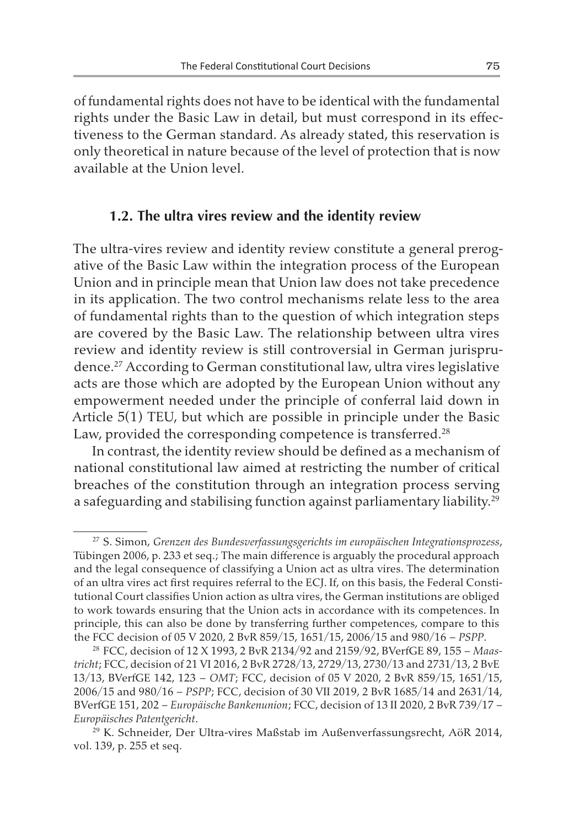of fundamental rights does not have to be identical with the fundamental rights under the Basic Law in detail, but must correspond in its effectiveness to the German standard. As already stated, this reservation is only theoretical in nature because of the level of protection that is now available at the Union level.

### **1.2. The ultra vires review and the identity review**

The ultra-vires review and identity review constitute a general prerogative of the Basic Law within the integration process of the European Union and in principle mean that Union law does not take precedence in its application. The two control mechanisms relate less to the area of fundamental rights than to the question of which integration steps are covered by the Basic Law. The relationship between ultra vires review and identity review is still controversial in German jurisprudence.<sup>27</sup> According to German constitutional law, ultra vires legislative acts are those which are adopted by the European Union without any empowerment needed under the principle of conferral laid down in Article 5(1) TEU, but which are possible in principle under the Basic Law, provided the corresponding competence is transferred.<sup>28</sup>

In contrast, the identity review should be defined as a mechanism of national constitutional law aimed at restricting the number of critical breaches of the constitution through an integration process serving a safeguarding and stabilising function against parliamentary liability.<sup>29</sup>

<sup>27</sup> S. Simon, *Grenzen des Bundesverfassungsgerichts im europäischen Integrationsprozess*, Tübingen 2006, p. 233 et seq.; The main difference is arguably the procedural approach and the legal consequence of classifying a Union act as ultra vires. The determination of an ultra vires act first requires referral to the ECJ. If, on this basis, the Federal Constitutional Court classifies Union action as ultra vires, the German institutions are obliged to work towards ensuring that the Union acts in accordance with its competences. In principle, this can also be done by transferring further competences, compare to this the FCC decision of 05 V 2020, 2 BvR 859/15, 1651/15, 2006/15 and 980/16 – *PSPP*.

<sup>28</sup> FCC, decision of 12 X 1993, 2 BvR 2134/92 and 2159/92, BVerfGE 89, 155 – *Maastricht*; FCC, decision of 21 VI 2016, 2 BvR 2728/13, 2729/13, 2730/13 and 2731/13, 2 BvE 13/13, BVerfGE 142, 123 – *OMT*; FCC, decision of 05 V 2020, 2 BvR 859/15, 1651/15, 2006/15 and 980/16 – *PSPP*; FCC, decision of 30 VII 2019, 2 BvR 1685/14 and 2631/14, BVerfGE 151, 202 – *Europäische Bankenunion*; FCC, decision of 13 II 2020, 2 BvR 739/17 – *Europäisches Patentgericht*.

<sup>29</sup> K. Schneider, Der Ultra-vires Maßstab im Außenverfassungsrecht, AöR 2014, vol. 139, p. 255 et seq.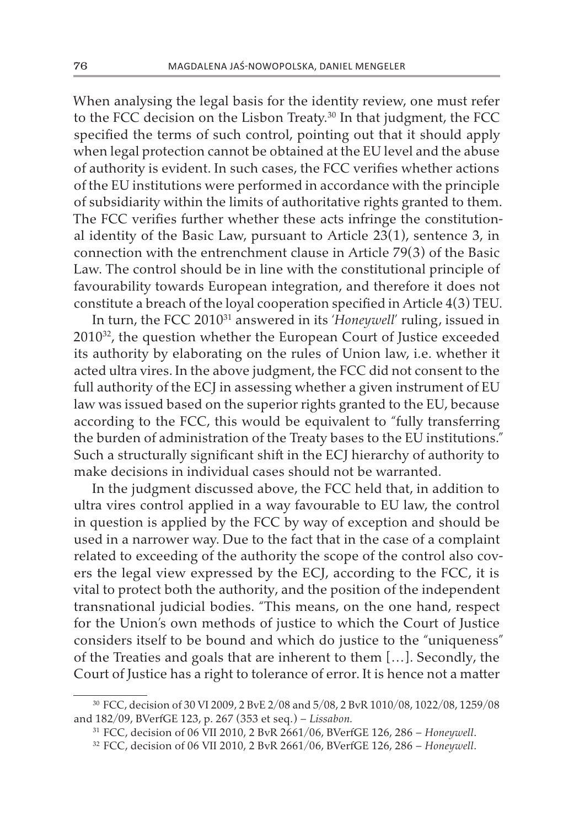When analysing the legal basis for the identity review, one must refer to the FCC decision on the Lisbon Treaty.<sup>30</sup> In that judgment, the FCC specified the terms of such control, pointing out that it should apply when legal protection cannot be obtained at the EU level and the abuse of authority is evident. In such cases, the FCC verifies whether actions of the EU institutions were performed in accordance with the principle of subsidiarity within the limits of authoritative rights granted to them. The FCC verifies further whether these acts infringe the constitutional identity of the Basic Law, pursuant to Article 23(1), sentence 3, in connection with the entrenchment clause in Article 79(3) of the Basic Law. The control should be in line with the constitutional principle of favourability towards European integration, and therefore it does not constitute a breach of the loyal cooperation specified in Article 4(3) TEU.

In turn, the FCC 201031 answered in its '*Honeywell*' ruling, issued in 201032, the question whether the European Court of Justice exceeded its authority by elaborating on the rules of Union law, i.e. whether it acted ultra vires. In the above judgment, the FCC did not consent to the full authority of the ECJ in assessing whether a given instrument of EU law was issued based on the superior rights granted to the EU, because according to the FCC, this would be equivalent to "fully transferring the burden of administration of the Treaty bases to the EU institutions." Such a structurally significant shift in the ECJ hierarchy of authority to make decisions in individual cases should not be warranted.

In the judgment discussed above, the FCC held that, in addition to ultra vires control applied in a way favourable to EU law, the control in question is applied by the FCC by way of exception and should be used in a narrower way. Due to the fact that in the case of a complaint related to exceeding of the authority the scope of the control also covers the legal view expressed by the ECJ, according to the FCC, it is vital to protect both the authority, and the position of the independent transnational judicial bodies. "This means, on the one hand, respect for the Union's own methods of justice to which the Court of Justice considers itself to be bound and which do justice to the "uniqueness" of the Treaties and goals that are inherent to them […]. Secondly, the Court of Justice has a right to tolerance of error. It is hence not a matter

<sup>30</sup> FCC, decision of 30 VI 2009, 2 BvE 2/08 and 5/08, 2 BvR 1010/08, 1022/08, 1259/08 and 182/09, BVerfGE 123, p. 267 (353 et seq.) – *Lissabon.*

<sup>31</sup> FCC, decision of 06 VII 2010, 2 BvR 2661/06, BVerfGE 126, 286 – *Honeywell*.

<sup>32</sup> FCC, decision of 06 VII 2010, 2 BvR 2661/06, BVerfGE 126, 286 – *Honeywell*.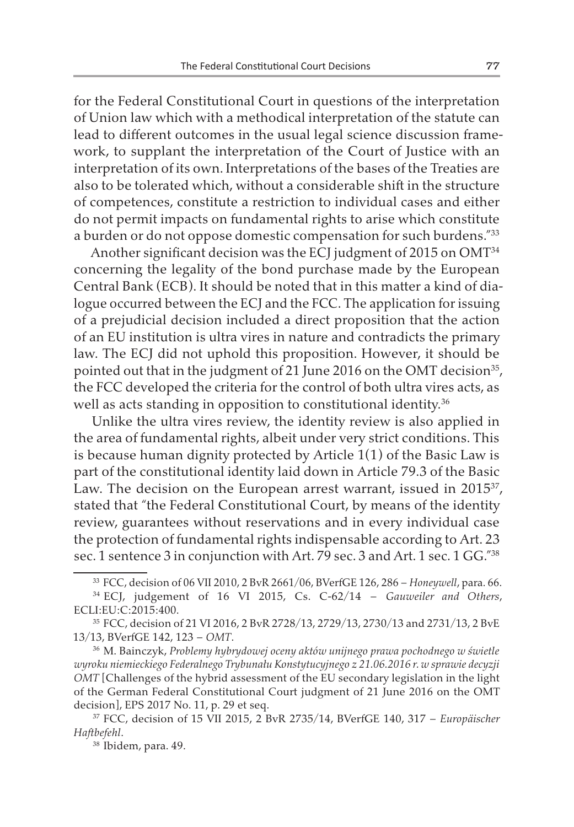for the Federal Constitutional Court in questions of the interpretation of Union law which with a methodical interpretation of the statute can lead to different outcomes in the usual legal science discussion framework, to supplant the interpretation of the Court of Justice with an interpretation of its own. Interpretations of the bases of the Treaties are also to be tolerated which, without a considerable shift in the structure of competences, constitute a restriction to individual cases and either do not permit impacts on fundamental rights to arise which constitute a burden or do not oppose domestic compensation for such burdens."33

Another significant decision was the ECJ judgment of 2015 on OMT<sup>34</sup> concerning the legality of the bond purchase made by the European Central Bank (ECB). It should be noted that in this matter a kind of dialogue occurred between the ECJ and the FCC. The application for issuing of a prejudicial decision included a direct proposition that the action of an EU institution is ultra vires in nature and contradicts the primary law. The ECJ did not uphold this proposition. However, it should be pointed out that in the judgment of 21 June 2016 on the OMT decision<sup>35</sup>, the FCC developed the criteria for the control of both ultra vires acts, as well as acts standing in opposition to constitutional identity.<sup>36</sup>

Unlike the ultra vires review, the identity review is also applied in the area of fundamental rights, albeit under very strict conditions. This is because human dignity protected by Article 1(1) of the Basic Law is part of the constitutional identity laid down in Article 79.3 of the Basic Law. The decision on the European arrest warrant, issued in 2015<sup>37</sup>, stated that "the Federal Constitutional Court, by means of the identity review, guarantees without reservations and in every individual case the protection of fundamental rights indispensable according to Art. 23 sec. 1 sentence 3 in conjunction with Art. 79 sec. 3 and Art. 1 sec. 1 GG."38

<sup>33</sup> FCC, decision of 06 VII 2010, 2 BvR 2661/06, BVerfGE 126, 286 – *Honeywell*, para. 66.

<sup>34</sup> ECJ, judgement of 16 VI 2015, Cs. C-62/14 – *Gauweiler and Others*, ECLI:EU:C:2015:400.

<sup>35</sup> FCC, decision of 21 VI 2016, 2 BvR 2728/13, 2729/13, 2730/13 and 2731/13, 2 BvE 13/13, BVerfGE 142, 123 – *OMT*.

<sup>36</sup> M. Bainczyk, *Problemy hybrydowej oceny aktów unijnego prawa pochodnego w świetle wyroku niemieckiego Federalnego Trybunału Konstytucyjnego z 21.06.2016 r. w sprawie decyzji OMT* [Challenges of the hybrid assessment of the EU secondary legislation in the light of the German Federal Constitutional Court judgment of 21 June 2016 on the OMT decision], EPS 2017 No. 11, p. 29 et seq.

<sup>37</sup> FCC, decision of 15 VII 2015, 2 BvR 2735/14, BVerfGE 140, 317 – *Europäischer Haftbefehl*.

<sup>38</sup> Ibidem, para. 49.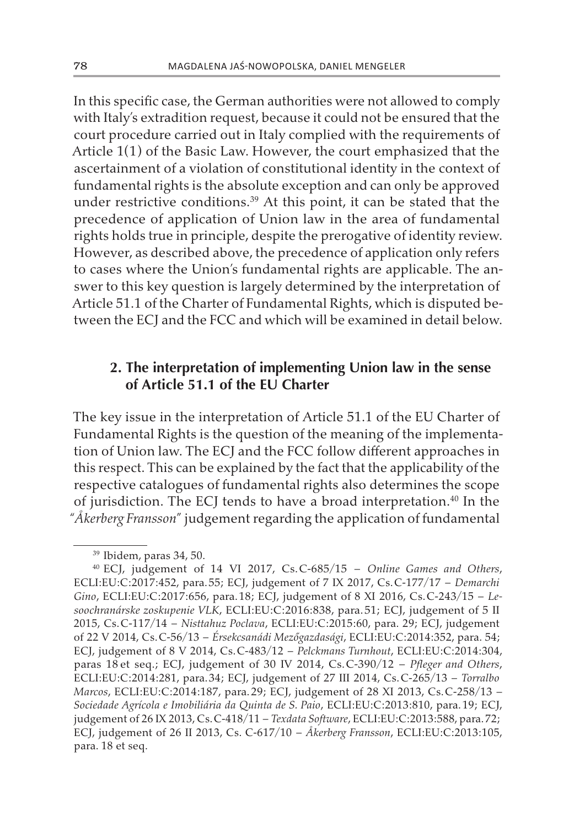In this specific case, the German authorities were not allowed to comply with Italy's extradition request, because it could not be ensured that the court procedure carried out in Italy complied with the requirements of Article 1(1) of the Basic Law. However, the court emphasized that the ascertainment of a violation of constitutional identity in the context of fundamental rights is the absolute exception and can only be approved under restrictive conditions.<sup>39</sup> At this point, it can be stated that the precedence of application of Union law in the area of fundamental rights holds true in principle, despite the prerogative of identity review. However, as described above, the precedence of application only refers to cases where the Union's fundamental rights are applicable. The answer to this key question is largely determined by the interpretation of Article 51.1 of the Charter of Fundamental Rights, which is disputed between the ECJ and the FCC and which will be examined in detail below.

# **2. The interpretation of implementing Union law in the sense of Article 51.1 of the EU Charter**

The key issue in the interpretation of Article 51.1 of the EU Charter of Fundamental Rights is the question of the meaning of the implementation of Union law. The ECJ and the FCC follow different approaches in this respect. This can be explained by the fact that the applicability of the respective catalogues of fundamental rights also determines the scope of jurisdiction. The ECJ tends to have a broad interpretation.<sup>40</sup> In the "*Åkerberg Fransson*" judgement regarding the application of fundamental

<sup>39</sup> Ibidem, paras 34, 50.

<sup>40</sup> ECJ, judgement of 14 VI 2017, Cs.C-685/15 – *Online Games and Others*, ECLI:EU:C:2017:452, para.55; ECJ, judgement of 7 IX 2017, Cs.C-177/17 – *Demarchi Gino*, ECLI:EU:C:2017:656, para.18; ECJ, judgement of 8 XI 2016, Cs.C-243/15 – *Lesoochranárske zoskupenie VLK*, ECLI:EU:C:2016:838, para.51; ECJ, judgement of 5 II 2015, Cs.C-117/14 – *Nisttahuz Poclava*, ECLI:EU:C:2015:60, para. 29; ECJ, judgement of 22 V 2014, Cs.C-56/13 – *Érsekcsanádi Mezőgazdasági*, ECLI:EU:C:2014:352, para. 54; ECJ, judgement of 8 V 2014, Cs.C-483/12 – *Pelckmans Turnhout*, ECLI:EU:C:2014:304, paras 18 et seq.; ECJ, judgement of 30 IV 2014, Cs.C-390/12 – *Pfleger and Others*, ECLI:EU:C:2014:281, para.34; ECJ, judgement of 27 III 2014, Cs.C-265/13 – *Torralbo Marcos*, ECLI:EU:C:2014:187, para.29; ECJ, judgement of 28 XI 2013, Cs.C-258/13 – *Sociedade Agrícola e Imobiliária da Quinta de S. Paio*, ECLI:EU:C:2013:810, para.19; ECJ, judgement of 26 IX 2013, Cs.C-418/11 – *Texdata Software*, ECLI:EU:C:2013:588, para.72; ECJ, judgement of 26 II 2013, Cs. C-617/10 – *Åkerberg Fransson*, ECLI:EU:C:2013:105, para. 18 et seq.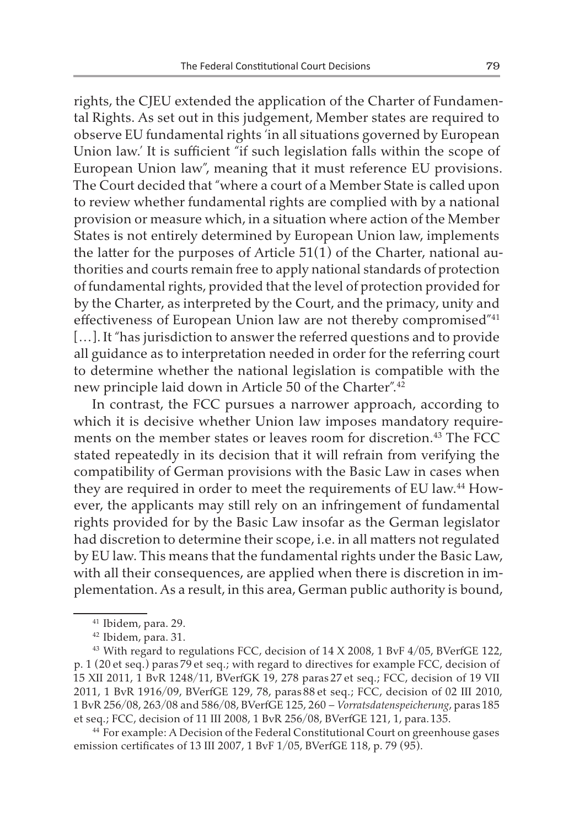rights, the CJEU extended the application of the Charter of Fundamental Rights. As set out in this judgement, Member states are required to observe EU fundamental rights 'in all situations governed by European Union law.' It is sufficient "if such legislation falls within the scope of European Union law", meaning that it must reference EU provisions. The Court decided that "where a court of a Member State is called upon to review whether fundamental rights are complied with by a national provision or measure which, in a situation where action of the Member States is not entirely determined by European Union law, implements the latter for the purposes of Article 51(1) of the Charter, national authorities and courts remain free to apply national standards of protection of fundamental rights, provided that the level of protection provided for by the Charter, as interpreted by the Court, and the primacy, unity and effectiveness of European Union law are not thereby compromised"41 [...]. It "has jurisdiction to answer the referred questions and to provide all guidance as to interpretation needed in order for the referring court to determine whether the national legislation is compatible with the new principle laid down in Article 50 of the Charter".42

In contrast, the FCC pursues a narrower approach, according to which it is decisive whether Union law imposes mandatory requirements on the member states or leaves room for discretion.<sup>43</sup> The FCC stated repeatedly in its decision that it will refrain from verifying the compatibility of German provisions with the Basic Law in cases when they are required in order to meet the requirements of EU law.<sup>44</sup> However, the applicants may still rely on an infringement of fundamental rights provided for by the Basic Law insofar as the German legislator had discretion to determine their scope, i.e. in all matters not regulated by EU law. This means that the fundamental rights under the Basic Law, with all their consequences, are applied when there is discretion in implementation. As a result, in this area, German public authority is bound,

<sup>44</sup> For example: A Decision of the Federal Constitutional Court on greenhouse gases emission certificates of 13 III 2007, 1 BvF 1/05, BVerfGE 118, p. 79 (95).

<sup>41</sup> Ibidem, para. 29.

<sup>42</sup> Ibidem, para. 31.

<sup>&</sup>lt;sup>43</sup> With regard to regulations FCC, decision of 14 X 2008, 1 BvF 4/05, BVerfGE 122, p. 1 (20 et seq.) paras79 et seq.; with regard to directives for example FCC, decision of 15 XII 2011, 1 BvR 1248/11, BVerfGK 19, 278 paras27 et seq.; FCC, decision of 19 VII 2011, 1 BvR 1916/09, BVerfGE 129, 78, paras88 et seq.; FCC, decision of 02 III 2010, 1 BvR 256/08, 263/08 and 586/08, BVerfGE 125, 260 – *Vorratsdatenspeicherung*, paras185 et seq.; FCC, decision of 11 III 2008, 1 BvR 256/08, BVerfGE 121, 1, para.135.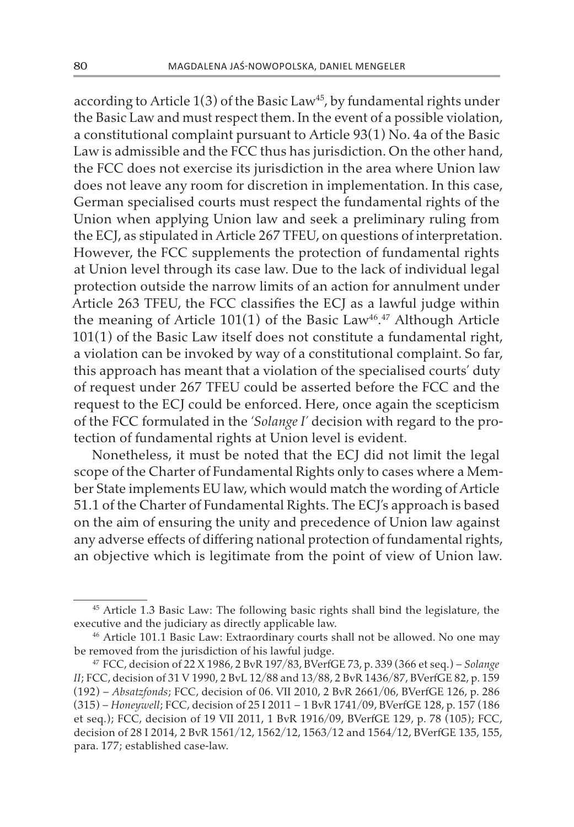according to Article  $1(3)$  of the Basic Law<sup>45</sup>, by fundamental rights under the Basic Law and must respect them. In the event of a possible violation, a constitutional complaint pursuant to Article 93(1) No. 4a of the Basic Law is admissible and the FCC thus has jurisdiction. On the other hand, the FCC does not exercise its jurisdiction in the area where Union law does not leave any room for discretion in implementation. In this case, German specialised courts must respect the fundamental rights of the Union when applying Union law and seek a preliminary ruling from the ECJ, as stipulated in Article 267 TFEU, on questions of interpretation. However, the FCC supplements the protection of fundamental rights at Union level through its case law. Due to the lack of individual legal protection outside the narrow limits of an action for annulment under Article 263 TFEU, the FCC classifies the ECJ as a lawful judge within the meaning of Article 101(1) of the Basic Law<sup>46</sup>.<sup>47</sup> Although Article 101(1) of the Basic Law itself does not constitute a fundamental right, a violation can be invoked by way of a constitutional complaint. So far, this approach has meant that a violation of the specialised courts' duty of request under 267 TFEU could be asserted before the FCC and the request to the ECJ could be enforced. Here, once again the scepticism of the FCC formulated in the '*Solange I'* decision with regard to the protection of fundamental rights at Union level is evident.

Nonetheless, it must be noted that the ECJ did not limit the legal scope of the Charter of Fundamental Rights only to cases where a Member State implements EU law, which would match the wording of Article 51.1 of the Charter of Fundamental Rights. The ECJ's approach is based on the aim of ensuring the unity and precedence of Union law against any adverse effects of differing national protection of fundamental rights, an objective which is legitimate from the point of view of Union law.

<sup>45</sup> Article 1.3 Basic Law: The following basic rights shall bind the legislature, the executive and the judiciary as directly applicable law.

<sup>46</sup> Article 101.1 Basic Law: Extraordinary courts shall not be allowed. No one may be removed from the jurisdiction of his lawful judge.

<sup>47</sup> FCC, decision of 22 X 1986, 2 BvR 197/83, BVerfGE 73, p. 339 (366 et seq.) – *Solange II*; FCC, decision of 31 V 1990, 2 BvL 12/88 and 13/88, 2 BvR 1436/87, BVerfGE 82, p. 159 (192) – *Absatzfonds*; FCC, decision of 06. VII 2010, 2 BvR 2661/06, BVerfGE 126, p. 286 (315) – *Honeywell*; FCC, decision of 25 I 2011 – 1 BvR 1741/09, BVerfGE 128, p. 157 (186 et seq.); FCC, decision of 19 VII 2011, 1 BvR 1916/09, BVerfGE 129, p. 78 (105); FCC, decision of 28 I 2014, 2 BvR 1561/12, 1562/12, 1563/12 and 1564/12, BVerfGE 135, 155, para. 177; established case-law.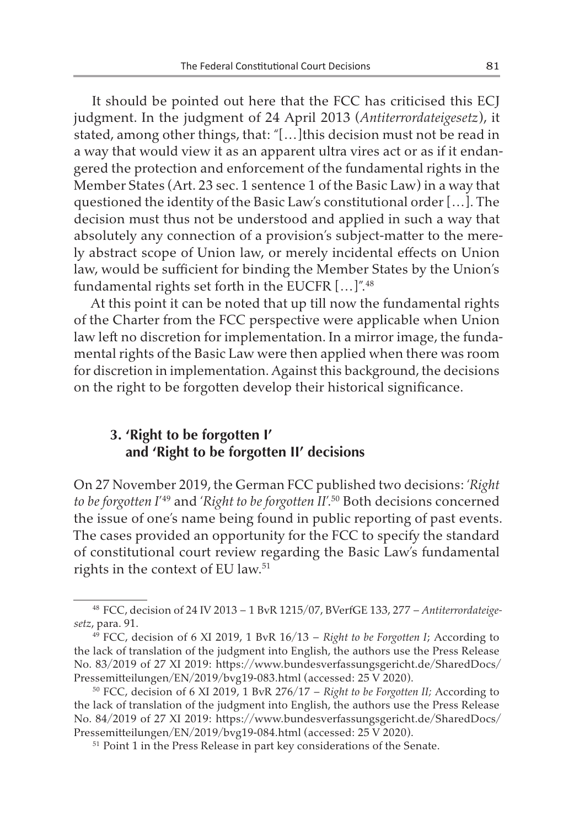It should be pointed out here that the FCC has criticised this ECJ judgment. In the judgment of 24 April 2013 (*Antiterrordateigesetz*), it stated, among other things, that: "[…]this decision must not be read in a way that would view it as an apparent ultra vires act or as if it endangered the protection and enforcement of the fundamental rights in the Member States (Art. 23 sec. 1 sentence 1 of the Basic Law) in a way that questioned the identity of the Basic Law's constitutional order […]. The decision must thus not be understood and applied in such a way that absolutely any connection of a provision's subject-matter to the merely abstract scope of Union law, or merely incidental effects on Union law, would be sufficient for binding the Member States by the Union's fundamental rights set forth in the EUCFR [...]".<sup>48</sup>

At this point it can be noted that up till now the fundamental rights of the Charter from the FCC perspective were applicable when Union law left no discretion for implementation. In a mirror image, the fundamental rights of the Basic Law were then applied when there was room for discretion in implementation. Against this background, the decisions on the right to be forgotten develop their historical significance.

### **3. 'Right to be forgotten I' and 'Right to be forgotten II' decisions**

On 27 November 2019, the German FCC published two decisions: '*Right to be forgotten I*' 49 and '*Right to be forgotten II*'.50 Both decisions concerned the issue of one's name being found in public reporting of past events. The cases provided an opportunity for the FCC to specify the standard of constitutional court review regarding the Basic Law's fundamental rights in the context of EU law.<sup>51</sup>

<sup>48</sup> FCC, decision of 24 IV 2013 – 1 BvR 1215/07, BVerfGE 133, 277 – *Antiterrordateigesetz*, para. 91.

<sup>49</sup> FCC, decision of 6 XI 2019, 1 BvR 16/13 – *Right to be Forgotten I*; According to the lack of translation of the judgment into English, the authors use the Press Release No. 83/2019 of 27 XI 2019: https://www.bundesverfassungsgericht.de/SharedDocs/ Pressemitteilungen/EN/2019/bvg19-083.html (accessed: 25 V 2020).

<sup>50</sup> FCC, decision of 6 XI 2019, 1 BvR 276/17 – *Right to be Forgotten II;* According to the lack of translation of the judgment into English, the authors use the Press Release No. 84/2019 of 27 XI 2019: https://www.bundesverfassungsgericht.de/SharedDocs/ Pressemitteilungen/EN/2019/bvg19-084.html (accessed: 25 V 2020).

<sup>51</sup> Point 1 in the Press Release in part key considerations of the Senate.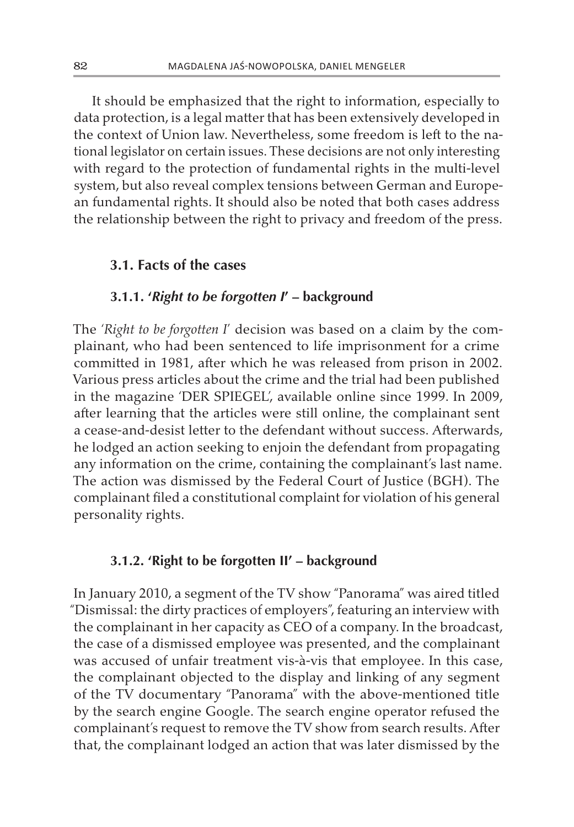It should be emphasized that the right to information, especially to data protection, is a legal matter that has been extensively developed in the context of Union law. Nevertheless, some freedom is left to the national legislator on certain issues. These decisions are not only interesting with regard to the protection of fundamental rights in the multi-level system, but also reveal complex tensions between German and European fundamental rights. It should also be noted that both cases address the relationship between the right to privacy and freedom of the press.

#### **3.1. Facts of the cases**

#### **3.1.1. '***Right to be forgotten I***' – background**

The '*Right to be forgotten I*' decision was based on a claim by the complainant, who had been sentenced to life imprisonment for a crime committed in 1981, after which he was released from prison in 2002. Various press articles about the crime and the trial had been published in the magazine 'DER SPIEGEL', available online since 1999. In 2009, after learning that the articles were still online, the complainant sent a cease-and-desist letter to the defendant without success. Afterwards, he lodged an action seeking to enjoin the defendant from propagating any information on the crime, containing the complainant's last name. The action was dismissed by the Federal Court of Justice (BGH). The complainant filed a constitutional complaint for violation of his general personality rights.

### **3.1.2. 'Right to be forgotten II' – background**

In January 2010, a segment of the TV show "Panorama" was aired titled "Dismissal: the dirty practices of employers", featuring an interview with the complainant in her capacity as CEO of a company. In the broadcast, the case of a dismissed employee was presented, and the complainant was accused of unfair treatment vis-à-vis that employee. In this case, the complainant objected to the display and linking of any segment of the TV documentary "Panorama" with the above-mentioned title by the search engine Google. The search engine operator refused the complainant's request to remove the TV show from search results. After that, the complainant lodged an action that was later dismissed by the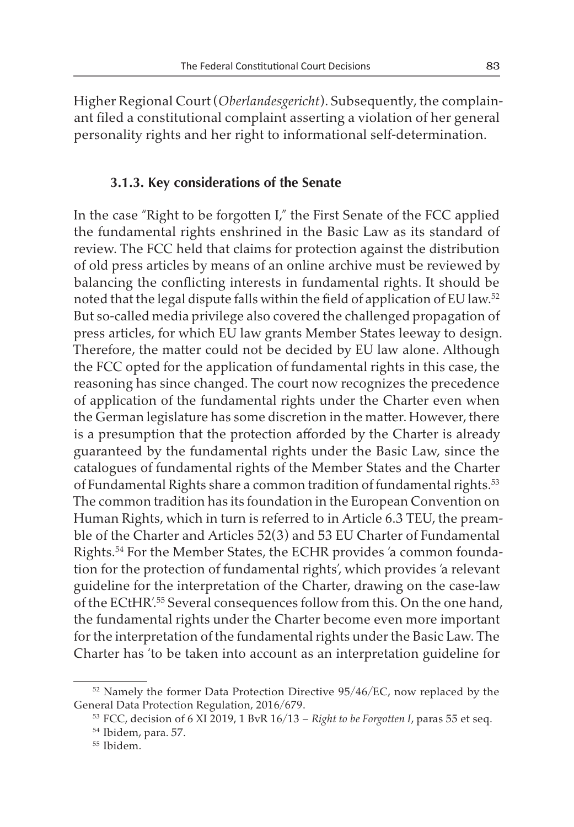Higher Regional Court(*Oberlandesgericht*). Subsequently, the complainant filed a constitutional complaint asserting a violation of her general personality rights and her right to informational self-determination.

#### **3.1.3. Key considerations of the Senate**

In the case "Right to be forgotten I," the First Senate of the FCC applied the fundamental rights enshrined in the Basic Law as its standard of review. The FCC held that claims for protection against the distribution of old press articles by means of an online archive must be reviewed by balancing the conflicting interests in fundamental rights. It should be noted that the legal dispute falls within the field of application of EU law.<sup>52</sup> But so-called media privilege also covered the challenged propagation of press articles, for which EU law grants Member States leeway to design. Therefore, the matter could not be decided by EU law alone. Although the FCC opted for the application of fundamental rights in this case, the reasoning has since changed. The court now recognizes the precedence of application of the fundamental rights under the Charter even when the German legislature has some discretion in the matter. However, there is a presumption that the protection afforded by the Charter is already guaranteed by the fundamental rights under the Basic Law, since the catalogues of fundamental rights of the Member States and the Charter of Fundamental Rights share a common tradition of fundamental rights.<sup>53</sup> The common tradition has its foundation in the European Convention on Human Rights, which in turn is referred to in Article 6.3 TEU, the preamble of the Charter and Articles 52(3) and 53 EU Charter of Fundamental Rights.54 For the Member States, the ECHR provides 'a common foundation for the protection of fundamental rights', which provides 'a relevant guideline for the interpretation of the Charter, drawing on the case-law of the ECtHR'.55 Several consequences follow from this. On the one hand, the fundamental rights under the Charter become even more important for the interpretation of the fundamental rights under the Basic Law. The Charter has 'to be taken into account as an interpretation guideline for

<sup>&</sup>lt;sup>52</sup> Namely the former Data Protection Directive 95/46/EC, now replaced by the General Data Protection Regulation, 2016/679.

<sup>53</sup> FCC, decision of 6 XI 2019, 1 BvR 16/13 – *Right to be Forgotten I*, paras 55 et seq.

<sup>54</sup> Ibidem, para. 57.

<sup>55</sup> Ibidem.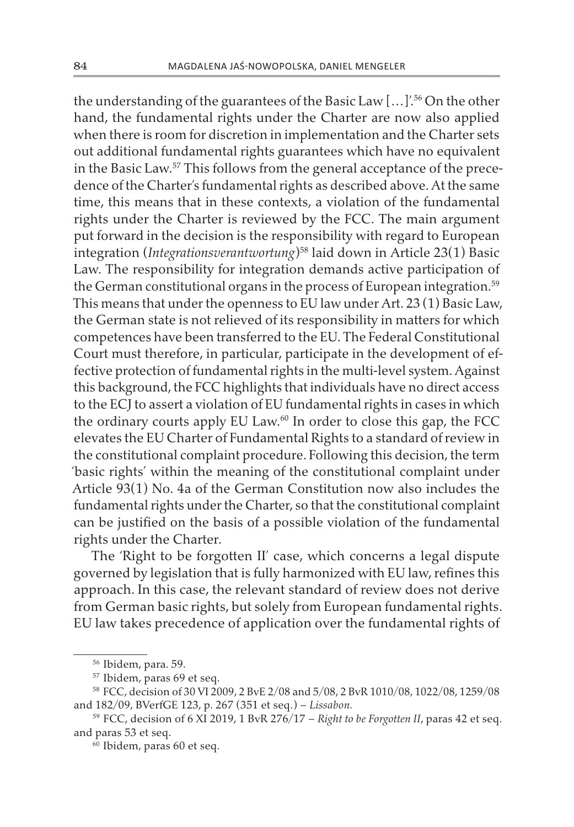the understanding of the guarantees of the Basic Law […]'.56 On the other hand, the fundamental rights under the Charter are now also applied when there is room for discretion in implementation and the Charter sets out additional fundamental rights guarantees which have no equivalent in the Basic Law.57 This follows from the general acceptance of the precedence of the Charter's fundamental rights as described above. At the same time, this means that in these contexts, a violation of the fundamental rights under the Charter is reviewed by the FCC. The main argument put forward in the decision is the responsibility with regard to European integration (*Integrationsverantwortung*)58 laid down in Article 23(1) Basic Law. The responsibility for integration demands active participation of the German constitutional organs in the process of European integration.<sup>59</sup> This means that under the openness to EU law under Art. 23 (1) Basic Law, the German state is not relieved of its responsibility in matters for which competences have been transferred to the EU. The Federal Constitutional Court must therefore, in particular, participate in the development of effective protection of fundamental rights in the multi-level system. Against this background, the FCC highlights that individuals have no direct access to the ECJ to assert a violation of EU fundamental rights in cases in which the ordinary courts apply EU Law.<sup>60</sup> In order to close this gap, the FCC elevates the EU Charter of Fundamental Rights to a standard of review in the constitutional complaint procedure. Following this decision, the term 'basic rights' within the meaning of the constitutional complaint under Article 93(1) No. 4a of the German Constitution now also includes the fundamental rights under the Charter, so that the constitutional complaint can be justified on the basis of a possible violation of the fundamental rights under the Charter.

The 'Right to be forgotten II' case, which concerns a legal dispute governed by legislation that is fully harmonized with EU law, refines this approach. In this case, the relevant standard of review does not derive from German basic rights, but solely from European fundamental rights. EU law takes precedence of application over the fundamental rights of

<sup>56</sup> Ibidem, para. 59.

<sup>57</sup> Ibidem, paras 69 et seq.

<sup>58</sup> FCC, decision of 30 VI 2009, 2 BvE 2/08 and 5/08, 2 BvR 1010/08, 1022/08, 1259/08 and 182/09, BVerfGE 123, p. 267 (351 et seq.) – *Lissabon.*

<sup>59</sup> FCC, decision of 6 XI 2019, 1 BvR 276/17 – *Right to be Forgotten II*, paras 42 et seq. and paras 53 et seq.

<sup>60</sup> Ibidem, paras 60 et seq.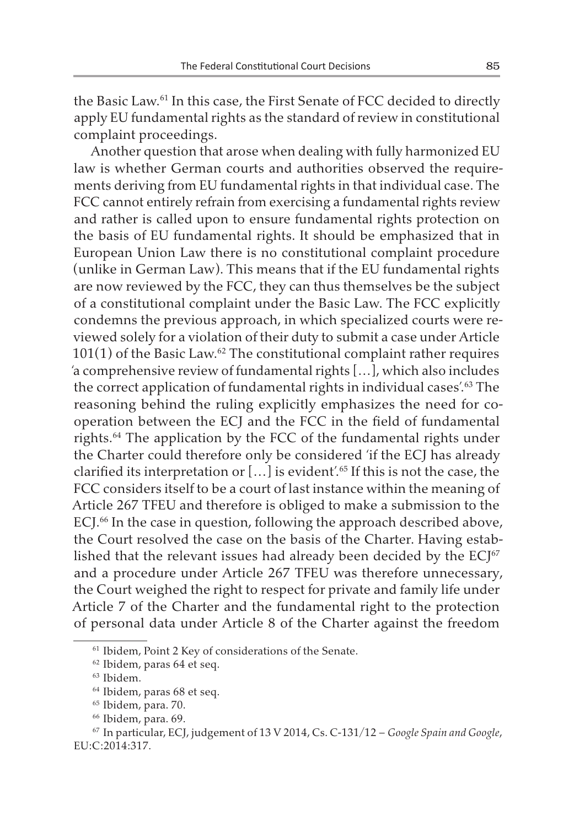the Basic Law.61 In this case, the First Senate of FCC decided to directly apply EU fundamental rights as the standard of review in constitutional complaint proceedings.

Another question that arose when dealing with fully harmonized EU law is whether German courts and authorities observed the requirements deriving from EU fundamental rights in that individual case. The FCC cannot entirely refrain from exercising a fundamental rights review and rather is called upon to ensure fundamental rights protection on the basis of EU fundamental rights. It should be emphasized that in European Union Law there is no constitutional complaint procedure (unlike in German Law). This means that if the EU fundamental rights are now reviewed by the FCC, they can thus themselves be the subject of a constitutional complaint under the Basic Law. The FCC explicitly condemns the previous approach, in which specialized courts were reviewed solely for a violation of their duty to submit a case under Article  $101(1)$  of the Basic Law.<sup>62</sup> The constitutional complaint rather requires 'a comprehensive review of fundamental rights […], which also includes the correct application of fundamental rights in individual cases'.63 The reasoning behind the ruling explicitly emphasizes the need for cooperation between the ECJ and the FCC in the field of fundamental rights.64 The application by the FCC of the fundamental rights under the Charter could therefore only be considered 'if the ECJ has already clarified its interpretation or […] is evident'.65 If this is not the case, the FCC considers itself to be a court of last instance within the meaning of Article 267 TFEU and therefore is obliged to make a submission to the ECJ.<sup>66</sup> In the case in question, following the approach described above, the Court resolved the case on the basis of the Charter. Having established that the relevant issues had already been decided by the  $ECJ^{67}$ and a procedure under Article 267 TFEU was therefore unnecessary, the Court weighed the right to respect for private and family life under Article 7 of the Charter and the fundamental right to the protection of personal data under Article 8 of the Charter against the freedom

<sup>&</sup>lt;sup>61</sup> Ibidem, Point 2 Key of considerations of the Senate.

<sup>62</sup> Ibidem, paras 64 et seq.

<sup>63</sup> Ibidem.

<sup>64</sup> Ibidem, paras 68 et seq.

<sup>65</sup> Ibidem, para. 70.

<sup>66</sup> Ibidem, para. 69.

<sup>67</sup> In particular, ECJ, judgement of 13 V 2014, Cs. C-131/12 – *Google Spain and Google*, EU:C:2014:317.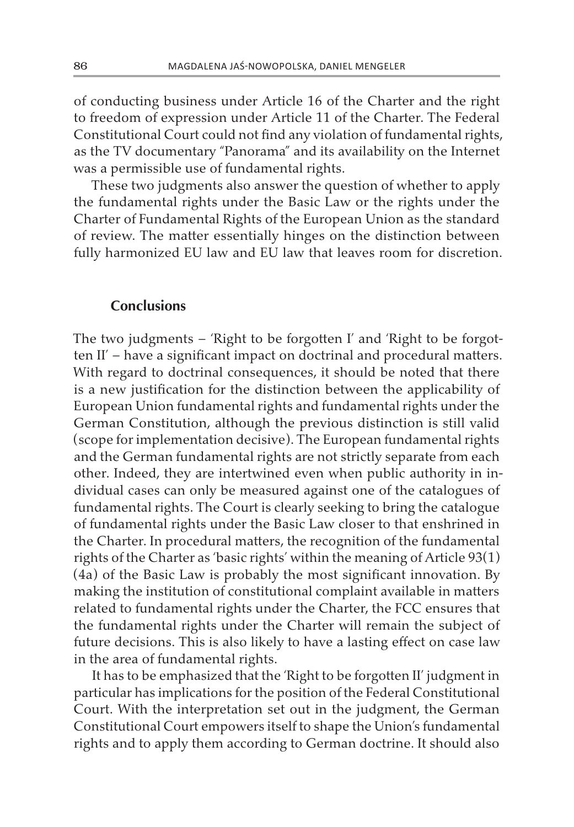of conducting business under Article 16 of the Charter and the right to freedom of expression under Article 11 of the Charter. The Federal Constitutional Court could not find any violation of fundamental rights, as the TV documentary "Panorama" and its availability on the Internet was a permissible use of fundamental rights.

These two judgments also answer the question of whether to apply the fundamental rights under the Basic Law or the rights under the Charter of Fundamental Rights of the European Union as the standard of review. The matter essentially hinges on the distinction between fully harmonized EU law and EU law that leaves room for discretion.

#### **Conclusions**

The two judgments – 'Right to be forgotten I' and 'Right to be forgotten II' – have a significant impact on doctrinal and procedural matters. With regard to doctrinal consequences, it should be noted that there is a new justification for the distinction between the applicability of European Union fundamental rights and fundamental rights under the German Constitution, although the previous distinction is still valid (scope for implementation decisive). The European fundamental rights and the German fundamental rights are not strictly separate from each other. Indeed, they are intertwined even when public authority in individual cases can only be measured against one of the catalogues of fundamental rights. The Court is clearly seeking to bring the catalogue of fundamental rights under the Basic Law closer to that enshrined in the Charter. In procedural matters, the recognition of the fundamental rights of the Charter as 'basic rights' within the meaning of Article 93(1) (4a) of the Basic Law is probably the most significant innovation. By making the institution of constitutional complaint available in matters related to fundamental rights under the Charter, the FCC ensures that the fundamental rights under the Charter will remain the subject of future decisions. This is also likely to have a lasting effect on case law in the area of fundamental rights.

It has to be emphasized that the 'Right to be forgotten II' judgment in particular has implications for the position of the Federal Constitutional Court. With the interpretation set out in the judgment, the German Constitutional Court empowers itself to shape the Union's fundamental rights and to apply them according to German doctrine. It should also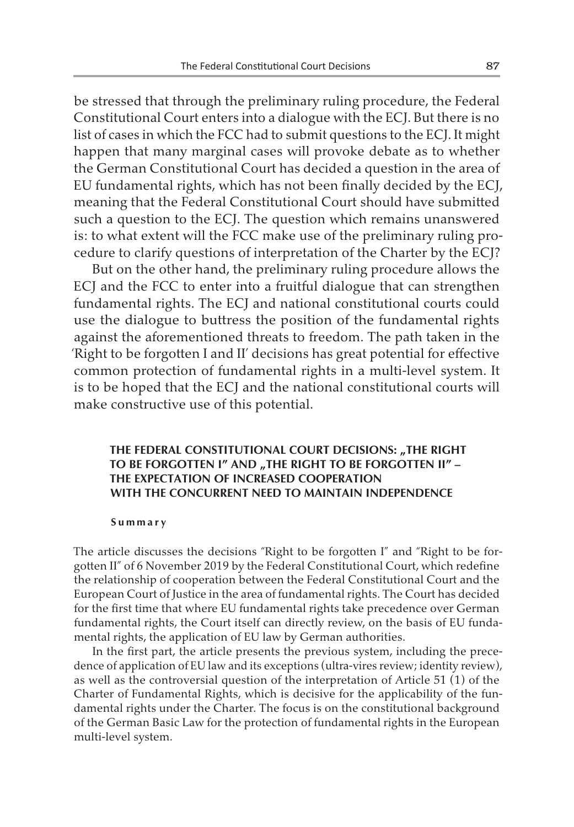be stressed that through the preliminary ruling procedure, the Federal Constitutional Court enters into a dialogue with the ECJ. But there is no list of cases in which the FCC had to submit questions to the ECJ. It might happen that many marginal cases will provoke debate as to whether the German Constitutional Court has decided a question in the area of EU fundamental rights, which has not been finally decided by the ECJ, meaning that the Federal Constitutional Court should have submitted such a question to the ECJ. The question which remains unanswered is: to what extent will the FCC make use of the preliminary ruling procedure to clarify questions of interpretation of the Charter by the ECJ?

But on the other hand, the preliminary ruling procedure allows the ECJ and the FCC to enter into a fruitful dialogue that can strengthen fundamental rights. The ECJ and national constitutional courts could use the dialogue to buttress the position of the fundamental rights against the aforementioned threats to freedom. The path taken in the 'Right to be forgotten I and II' decisions has great potential for effective common protection of fundamental rights in a multi-level system. It is to be hoped that the ECJ and the national constitutional courts will make constructive use of this potential.

#### **THE FEDERAL CONSTITUTIONAL COURT DECISIONS: "THE RIGHT** TO BE FORGOTTEN I" AND "THE RIGHT TO BE FORGOTTEN II" -**THE EXPECTATION OF INCREASED COOPERATION WITH THE CONCURRENT NEED TO MAINTAIN INDEPENDENCE**

#### **Summary**

The article discusses the decisions "Right to be forgotten I" and "Right to be forgotten II" of 6 November 2019 by the Federal Constitutional Court, which redefine the relationship of cooperation between the Federal Constitutional Court and the European Court of Justice in the area of fundamental rights. The Court has decided for the first time that where EU fundamental rights take precedence over German fundamental rights, the Court itself can directly review, on the basis of EU fundamental rights, the application of EU law by German authorities.

In the first part, the article presents the previous system, including the precedence of application of EU law and its exceptions (ultra-vires review; identity review), as well as the controversial question of the interpretation of Article 51 (1) of the Charter of Fundamental Rights, which is decisive for the applicability of the fundamental rights under the Charter. The focus is on the constitutional background of the German Basic Law for the protection of fundamental rights in the European multi-level system.